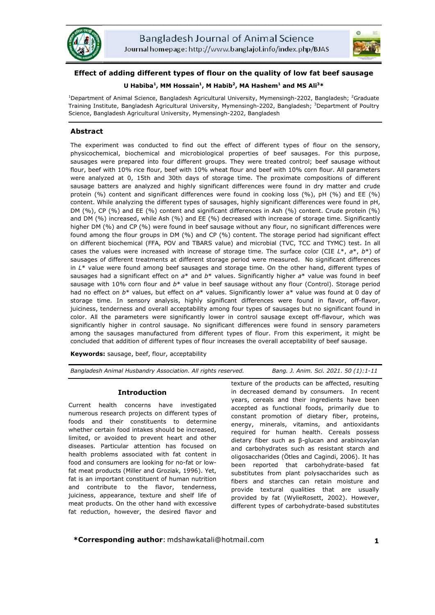



# **Effect of adding different types of flour on the quality of low fat beef sausage**

# $U$  Habiba<sup>1</sup>, MM Hossain<sup>1</sup>, M Habib<sup>2</sup>, MA Hashem<sup>1</sup> and MS Ali<sup>3</sup>\*

<sup>1</sup>Department of Animal Science, Bangladesh Agricultural University, Mymensingh-2202, Bangladesh; <sup>2</sup>Graduate Training Institute, Bangladesh Agricultural University, Mymensingh-2202, Bangladesh; <sup>3</sup>Department of Poultry Science, Bangladesh Agricultural University, Mymensingh-2202, Bangladesh

# **Abstract**

The experiment was conducted to find out the effect of different types of flour on the sensory, physicochemical, biochemical and microbiological properties of beef sausages. For this purpose, sausages were prepared into four different groups. They were treated control; beef sausage without flour, beef with 10% rice flour, beef with 10% wheat flour and beef with 10% corn flour. All parameters were analyzed at 0, 15th and 30th days of storage time. The proximate compositions of different sausage batters are analyzed and highly significant differences were found in dry matter and crude protein (%) content and significant differences were found in cooking loss (%), pH (%) and EE (%) content. While analyzing the different types of sausages, highly significant differences were found in pH, DM (%), CP (%) and EE (%) content and significant differences in Ash (%) content. Crude protein (%) and DM (%) increased, while Ash (%) and EE (%) decreased with increase of storage time. Significantly higher DM (%) and CP (%) were found in beef sausage without any flour, no significant differences were found among the flour groups in DM (%) and CP (%) content. The storage period had significant effect on different biochemical (FFA, POV and TBARS value) and microbial (TVC, TCC and TYMC) test. In all cases the values were increased with increase of storage time. The surface color (CIE *L*\*, *a*\*, *b*\*) of sausages of different treatments at different storage period were measured. No significant differences in *L*\* value were found among beef sausages and storage time. On the other hand, different types of sausages had a significant effect on *a*\* and *b*\* values. Significantly higher *a*\* value was found in beef sausage with 10% corn flour and *b*\* value in beef sausage without any flour (Control). Storage period had no effect on  $b^*$  values, but effect on  $a^*$  values. Significantly lower  $a^*$  value was found at 0 day of storage time. In sensory analysis, highly significant differences were found in flavor, off-flavor, juiciness, tenderness and overall acceptability among four types of sausages but no significant found in color. All the parameters were significantly lower in control sausage except off-flavour, which was significantly higher in control sausage. No significant differences were found in sensory parameters among the sausages manufactured from different types of flour. From this experiment, it might be concluded that addition of different types of flour increases the overall acceptability of beef sausage.

**Keywords:** sausage, beef, flour, acceptability

*Bangladesh Animal Husbandry Association. All rights reserved. Bang. J. Anim. Sci. 2021. 50 (1):1-11*

# **Introduction**

Current health concerns have investigated numerous research projects on different types of foods and their constituents to determine whether certain food intakes should be increased, limited, or avoided to prevent heart and other diseases. Particular attention has focused on health problems associated with fat content in food and consumers are looking for no-fat or lowfat meat products (Miller and Groziak, 1996). Yet, fat is an important constituent of human nutrition and contribute to the flavor, tenderness, juiciness, appearance, texture and shelf life of meat products. On the other hand with excessive fat reduction, however, the desired flavor and texture of the products can be affected, resulting in decreased demand by consumers. In recent years, cereals and their ingredients have been accepted as functional foods, primarily due to constant promotion of dietary fiber, proteins, energy, minerals, vitamins, and antioxidants required for human health. Cereals possess dietary fiber such as β-glucan and arabinoxylan and carbohydrates such as resistant starch and oligosaccharides (Ötles and Cagindi, 2006). It has been reported that carbohydrate-based fat substitutes from plant polysaccharides such as fibers and starches can retain moisture and provide textural qualities that are usually provided by fat (WylieRosett, 2002). However, different types of carbohydrate-based substitutes

**\*Corresponding author**: mdshawkatali@hotmail.com **1**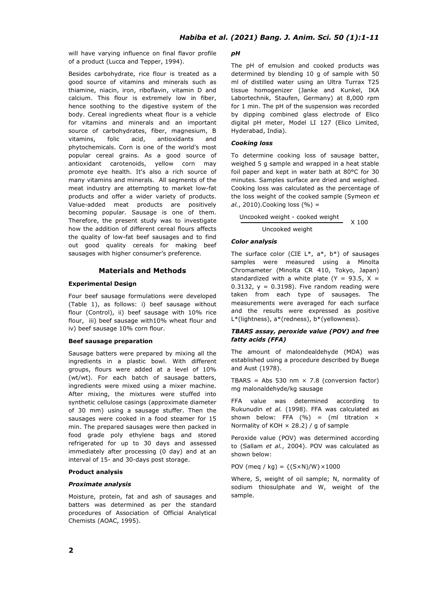will have varying influence on final flavor profile of a product (Lucca and Tepper, 1994).

Besides carbohydrate, rice flour is treated as a good source of vitamins and minerals such as thiamine, niacin, iron, riboflavin, vitamin D and calcium. This flour is extremely low in fiber, hence soothing to the digestive system of the body. Cereal ingredients wheat flour is a vehicle for vitamins and minerals and an important source of carbohydrates, fiber, magnesium, B vitamins, folic acid, antioxidants and phytochemicals. Corn is one of the world's most popular cereal grains. As a good source of antioxidant carotenoids, yellow corn may promote eye health. It's also a rich source of many vitamins and minerals. All segments of the meat industry are attempting to market low-fat products and offer a wider variety of products. Value-added meat products are positively becoming popular. Sausage is one of them. Therefore, the present study was to investigate how the addition of different cereal flours affects the quality of low-fat beef sausages and to find out good quality cereals for making beef sausages with higher consumer's preference.

# **Materials and Methods**

# **Experimental Design**

Four beef sausage formulations were developed (Table 1), as follows: i) beef sausage without flour (Control), ii) beef sausage with 10% rice flour, iii) beef sausage with10% wheat flour and iv) beef sausage 10% corn flour.

#### **Beef sausage preparation**

Sausage batters were prepared by mixing all the ingredients in a plastic bowl. With different groups, flours were added at a level of 10% (wt/wt). For each batch of sausage batters, ingredients were mixed using a mixer machine. After mixing, the mixtures were stuffed into synthetic cellulose casings (approximate diameter of 30 mm) using a sausage stuffer. Then the sausages were cooked in a food steamer for 15 min. The prepared sausages were then packed in food grade poly ethylene bags and stored refrigerated for up to 30 days and assessed immediately after processing (0 day) and at an interval of 15- and 30-days post storage.

#### **Product analysis**

#### *Proximate analysis*

Moisture, protein, fat and ash of sausages and batters was determined as per the standard procedures of Association of Official Analytical Chemists (AOAC, 1995).

### *pH*

The pH of emulsion and cooked products was determined by blending 10 g of sample with 50 ml of distilled water using an Ultra Turrax T25 tissue homogenizer (Janke and Kunkel, IKA Labortechnik, Staufen, Germany) at 8,000 rpm for 1 min. The pH of the suspension was recorded by dipping combined glass electrode of Elico digital pH meter, Model LI 127 (Elico Limited, Hyderabad, India).

#### *Cooking loss*

To determine cooking loss of sausage batter, weighed 5 g sample and wrapped in a heat stable foil paper and kept in water bath at 80°C for 30 minutes. Samples surface are dried and weighed. Cooking loss was calculated as the percentage of the loss weight of the cooked sample (Symeon *et al.*, 2010).Cooking loss (%) =

 Uncooked weight - cooked weight Uncooked weight  $X$  100

#### *Color analysis*

The surface color (CIE  $L^*$ ,  $a^*$ ,  $b^*$ ) of sausages samples were measured using a Minolta Chromameter (Minolta CR 410, Tokyo, Japan) standardized with a white plate (Y = 93.5, X = 0.3132,  $y = 0.3198$ ). Five random reading were taken from each type of sausages. The measurements were averaged for each surface and the results were expressed as positive L\*(lightness), a\*(redness), b\*(yellowness).

# *TBARS assay, peroxide value (POV) and free fatty acids (FFA)*

The amount of malondealdehyde (MDA) was established using a procedure described by Buege and Aust (1978).

TBARS = Abs 530 nm  $\times$  7.8 (conversion factor) mg malonaldehyde/kg sausage

FFA value was determined according to Rukunudin *et al.* (1998). FFA was calculated as shown below: FFA (%) = (ml titration  $\times$ Normality of KOH  $\times$  28.2) / g of sample

Peroxide value (POV) was determined according to (Sallam *et al.*, 2004). POV was calculated as shown below:

POV (meq / kg) =  ${(S \times N) / W} \times 1000$ 

Where, S, weight of oil sample; N, normality of sodium thiosulphate and W, weight of the sample.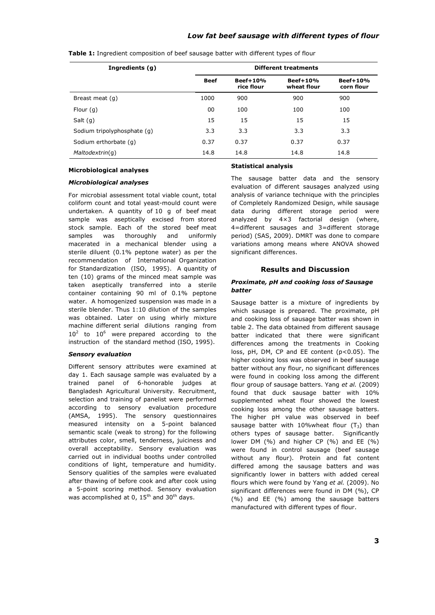| Ingredients (g)             | <b>Different treatments</b> |                          |                           |                          |  |  |  |  |  |
|-----------------------------|-----------------------------|--------------------------|---------------------------|--------------------------|--|--|--|--|--|
|                             | <b>Beef</b>                 | $Beef+10%$<br>rice flour | $Beef+10%$<br>wheat flour | $Beef+10%$<br>corn flour |  |  |  |  |  |
| Breast meat (q)             | 1000                        | 900                      | 900                       | 900                      |  |  |  |  |  |
| Flour $(q)$                 | 00                          | 100                      | 100                       | 100                      |  |  |  |  |  |
| Salt $(q)$                  | 15                          | 15                       | 15                        | 15                       |  |  |  |  |  |
| Sodium tripolyphosphate (q) | 3.3                         | 3.3                      | 3.3                       | 3.3                      |  |  |  |  |  |
| Sodium erthorbate (q)       | 0.37                        | 0.37                     | 0.37                      | 0.37                     |  |  |  |  |  |
| Maltodextrin(q)             | 14.8                        | 14.8                     | 14.8                      | 14.8                     |  |  |  |  |  |

**Table 1:** Ingredient composition of beef sausage batter with different types of flour

#### **Microbiological analyses**

### *Microbiological analyses*

For microbial assessment total viable count, total coliform count and total yeast-mould count were undertaken. A quantity of 10 g of beef meat sample was aseptically excised from stored stock sample. Each of the stored beef meat samples was thoroughly and uniformly macerated in a mechanical blender using a sterile diluent (0.1% peptone water) as per the recommendation of International Organization for Standardization (ISO, 1995). A quantity of ten (10) grams of the minced meat sample was taken aseptically transferred into a sterile container containing 90 ml of 0.1% peptone water. A homogenized suspension was made in a sterile blender. Thus 1:10 dilution of the samples was obtained. Later on using whirly mixture machine different serial dilutions ranging from  $10^2$  to  $10^6$  were prepared according to the instruction of the standard method (ISO, 1995).

### *Sensory evaluation*

Different sensory attributes were examined at day 1. Each sausage sample was evaluated by a trained panel of 6-honorable judges at Bangladesh Agricultural University. Recruitment, selection and training of panelist were performed according to sensory evaluation procedure (AMSA, 1995). The sensory questionnaires measured intensity on a 5-point balanced semantic scale (weak to strong) for the following attributes color, smell, tenderness, juiciness and overall acceptability. Sensory evaluation was carried out in individual booths under controlled conditions of light, temperature and humidity. Sensory qualities of the samples were evaluated after thawing of before cook and after cook using a 5-point scoring method. Sensory evaluation was accomplished at 0,  $15<sup>th</sup>$  and  $30<sup>th</sup>$  days.

### **Statistical analysis**

The sausage batter data and the sensory evaluation of different sausages analyzed using analysis of variance technique with the principles of Completely Randomized Design, while sausage data during different storage period were analyzed by 4×3 factorial design (where, 4=different sausages and 3=different storage period) (SAS, 2009). DMRT was done to compare variations among means where ANOVA showed significant differences.

### **Results and Discussion**

### *Proximate, pH and cooking loss of Sausage batter*

Sausage batter is a mixture of ingredients by which sausage is prepared. The proximate, pH and cooking loss of sausage batter was shown in table 2. The data obtained from different sausage batter indicated that there were significant differences among the treatments in Cooking loss, pH, DM, CP and EE content (p<0.05). The higher cooking loss was observed in beef sausage batter without any flour, no significant differences were found in cooking loss among the different flour group of sausage batters. Yang *et al.* (2009) found that duck sausage batter with 10% supplemented wheat flour showed the lowest cooking loss among the other sausage batters. The higher pH value was observed in beef sausage batter with 10%wheat flour  $(T_3)$  than others types of sausage batter. Significantly lower DM (%) and higher CP (%) and EE (%) were found in control sausage (beef sausage without any flour). Protein and fat content differed among the sausage batters and was significantly lower in batters with added cereal flours which were found by Yang *et al.* (2009). No significant differences were found in DM (%), CP (%) and EE (%) among the sausage batters manufactured with different types of flour.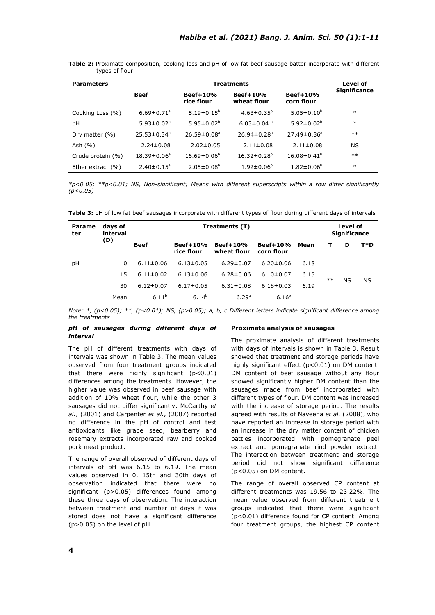| <b>Parameters</b>    |                              | Level of                                              |                               |                               |                     |  |
|----------------------|------------------------------|-------------------------------------------------------|-------------------------------|-------------------------------|---------------------|--|
|                      | <b>Beef</b>                  | $Beef+10%$<br>$Beef+10%$<br>rice flour<br>wheat flour |                               | Beef+10%<br>corn flour        | <b>Significance</b> |  |
| Cooking Loss (%)     | $6.69 \pm 0.71$ <sup>a</sup> | $5.19 \pm 0.15^b$                                     | $4.63 \pm 0.35^b$             | $5.05 \pm 0.10^b$             | $\ast$              |  |
| рH                   | 5.93 $\pm$ 0.02 <sup>b</sup> | $5.95 \pm 0.02^b$                                     | $6.03 \pm 0.04$ <sup>a</sup>  | $5.92 \pm 0.02^b$             | $\ast$              |  |
| Dry matter $(% )$    | $25.53 \pm 0.34^b$           | $26.59 \pm 0.08$ <sup>a</sup>                         | $26.94 \pm 0.28$ <sup>a</sup> | $27.49 \pm 0.36$ <sup>a</sup> | $**$                |  |
| Ash $(\% )$          | $2.24 \pm 0.08$              | $2.02 \pm 0.05$                                       | $2.11 \pm 0.08$               | $2.11 \pm 0.08$               | <b>NS</b>           |  |
| Crude protein (%)    | $18.39 \pm 0.06^a$           | $16.69 \pm 0.06^b$                                    | $16.32 \pm 0.28$ <sup>b</sup> | $16.08 \pm 0.41$ <sup>b</sup> | $***$               |  |
| Ether extract $(% )$ | $2.40 \pm 0.15$ <sup>a</sup> | $2.05 \pm 0.08^b$                                     | $1.92 \pm 0.06^{\circ}$       | $1.82 \pm 0.06^b$             | $\ast$              |  |

**Table 2:** Proximate composition, cooking loss and pH of low fat beef sausage batter incorporate with different types of flour

*\*p<0.05; \*\*p<0.01; NS, Non-significant; Means with different superscripts within a row differ significantly (p<0.05)*

**Table 3:** pH of low fat beef sausages incorporate with different types of flour during different days of intervals

| Parame<br>ter | days of<br>interval |                 | Level of<br><b>Significance</b> |                           |                          |      |      |           |     |
|---------------|---------------------|-----------------|---------------------------------|---------------------------|--------------------------|------|------|-----------|-----|
|               | (D)                 | <b>Beef</b>     | <b>Beef+10%</b><br>rice flour   | $Beef+10%$<br>wheat flour | $Beef+10%$<br>corn flour | Mean | т    | D         | T*D |
| pH            | 0                   | $6.11 \pm 0.06$ | $6.13 \pm 0.05$                 | $6.29 \pm 0.07$           | $6.20 \pm 0.06$          | 6.18 |      |           |     |
|               | 15                  | $6.11 \pm 0.02$ | $6.13 \pm 0.06$                 | $6.28 \pm 0.06$           | $6.10\pm0.07$            | 6.15 | $**$ |           |     |
|               | 30                  | $6.12 \pm 0.07$ | $6.17 \pm 0.05$                 | $6.31 \pm 0.08$           | $6.18 \pm 0.03$          | 6.19 |      | <b>NS</b> | ΝS  |
|               | Mean                | $6.11^{b}$      | $6.14^{b}$                      | 6.29 <sup>a</sup>         | $6.16^{b}$               |      |      |           |     |

*Note: \*, (p<0.05); \*\*, (p<0.01); NS, (p>0.05); a, b, c Different letters indicate significant difference among the treatments*

### *pH of sausages during different days of interval*

The pH of different treatments with days of intervals was shown in Table 3. The mean values observed from four treatment groups indicated that there were highly significant (p<0.01) differences among the treatments. However, the higher value was observed in beef sausage with addition of 10% wheat flour, while the other 3 sausages did not differ significantly. McCarthy *et al.*, (2001) and Carpenter *et al.*, (2007) reported no difference in the pH of control and test antioxidants like grape seed, bearberry and rosemary extracts incorporated raw and cooked pork meat product.

The range of overall observed of different days of intervals of pH was 6.15 to 6.19. The mean values observed in 0, 15th and 30th days of observation indicated that there were no significant (p>0.05) differences found among these three days of observation. The interaction between treatment and number of days it was stored does not have a significant difference (p>0.05) on the level of pH.

### **Proximate analysis of sausages**

The proximate analysis of different treatments with days of intervals is shown in Table 3. Result showed that treatment and storage periods have highly significant effect (p<0.01) on DM content. DM content of beef sausage without any flour showed significantly higher DM content than the sausages made from beef incorporated with different types of flour. DM content was increased with the increase of storage period. The results agreed with results of Naveena *et al.* (2008), who have reported an increase in storage period with an increase in the dry matter content of chicken patties incorporated with pomegranate peel extract and pomegranate rind powder extract. The interaction between treatment and storage period did not show significant difference (p<0.05) on DM content.

The range of overall observed CP content at different treatments was 19.56 to 23.22%. The mean value observed from different treatment groups indicated that there were significant (p<0.01) difference found for CP content. Among four treatment groups, the highest CP content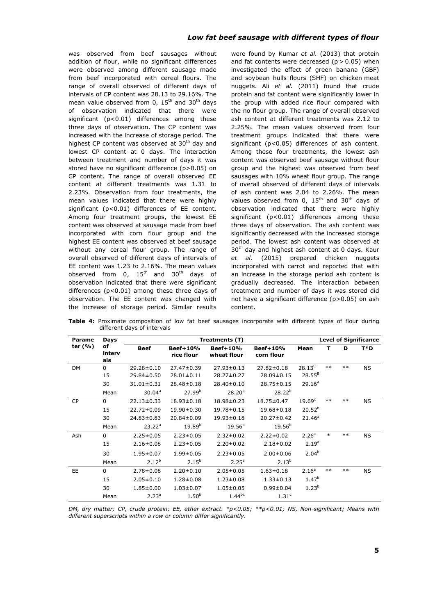was observed from beef sausages without addition of flour, while no significant differences were observed among different sausage made from beef incorporated with cereal flours. The range of overall observed of different days of intervals of CP content was 28.13 to 29.16%. The mean value observed from 0,  $15<sup>th</sup>$  and  $30<sup>th</sup>$  days of observation indicated that there were significant (p<0.01) differences among these three days of observation. The CP content was increased with the increase of storage period. The highest CP content was observed at 30<sup>th</sup> day and lowest CP content at 0 days. The interaction between treatment and number of days it was stored have no significant difference (p>0.05) on CP content. The range of overall observed EE content at different treatments was 1.31 to 2.23%. Observation from four treatments, the mean values indicated that there were highly significant (p<0.01) differences of EE content. Among four treatment groups, the lowest EE content was observed at sausage made from beef incorporated with corn flour group and the highest EE content was observed at beef sausage without any cereal flour group. The range of overall observed of different days of intervals of EE content was 1.23 to 2.16%. The mean values observed from  $0$ ,  $15<sup>th</sup>$  and  $30<sup>th</sup>$  days of observation indicated that there were significant differences (p<0.01) among these three days of observation. The EE content was changed with the increase of storage period. Similar results were found by Kumar *et al.* (2013) that protein and fat contents were decreased  $(p > 0.05)$  when investigated the effect of green banana (GBF) and soybean hulls flours (SHF) on chicken meat nuggets. Ali *et al.* (2011) found that crude protein and fat content were significantly lower in the group with added rice flour compared with the no flour group. The range of overall observed ash content at different treatments was 2.12 to 2.25%. The mean values observed from four treatment groups indicated that there were significant (p<0.05) differences of ash content. Among these four treatments, the lowest ash content was observed beef sausage without flour group and the highest was observed from beef sausages with 10% wheat flour group. The range of overall observed of different days of intervals of ash content was 2.04 to 2.26%. The mean values observed from 0,  $15<sup>th</sup>$  and  $30<sup>th</sup>$  days of observation indicated that there were highly significant (p<0.01) differences among these three days of observation. The ash content was significantly decreased with the increased storage period. The lowest ash content was observed at  $30<sup>th</sup>$  day and highest ash content at 0 days. Kaur *et al.* (2015) prepared chicken nuggets incorporated with carrot and reported that with an increase in the storage period ash content is gradually decreased. The interaction between treatment and number of days it was stored did not have a significant difference (p>0.05) on ash content.

| Parame    | Days                |                    | Treatments (T)         |                         |                        |                    | <b>Level of Significance</b> |       |           |
|-----------|---------------------|--------------------|------------------------|-------------------------|------------------------|--------------------|------------------------------|-------|-----------|
| ter (%)   | of<br>interv<br>als | <b>Beef</b>        | Beef+10%<br>rice flour | Beef+10%<br>wheat flour | Beef+10%<br>corn flour | Mean               | т                            | D     | T*D       |
| <b>DM</b> | $\Omega$            | $29.28 \pm 0.10$   | 27.47±0.39             | $27.93 \pm 0.13$        | 27.82±0.18             | $28.13^C$          | $**$                         | $***$ | ΝS        |
|           | 15                  | $29.84 \pm 0.50$   | $28.01 \pm 0.11$       | $28.27 \pm 0.27$        | 28.09±0.15             | $28.55^{B}$        |                              |       |           |
|           | 30                  | $31.01 \pm 0.31$   | 28.48±0.18             | 28.40±0.10              | 28.75±0.15             | 29.16 <sup>A</sup> |                              |       |           |
|           | Mean                | 30.04 <sup>a</sup> | 27.99 <sup>b</sup>     | $28.20^{b}$             | $28.22^{b}$            |                    |                              |       |           |
| <b>CP</b> | $\Omega$            | $22.13 \pm 0.33$   | $18.93 \pm 0.18$       | 18.98±0.23              | 18.75±0.47             | $19.69^{\circ}$    | $***$                        | $***$ | NS.       |
|           | 15                  | 22.72±0.09         | 19.90±0.30             | 19.78±0.15              | 19.68±0.18             | $20.52^{b}$        |                              |       |           |
|           | 30                  | 24.83±0.83         | 20.84±0.09             | 19.93±0.18              | $20.27 \pm 0.42$       | $21.46^a$          |                              |       |           |
|           | Mean                | $23.22^a$          | $19.89^{b}$            | $19.56^{b}$             | $19.56^{b}$            |                    |                              |       |           |
| Ash       | $\mathbf 0$         | $2.25 \pm 0.05$    | $2.23 \pm 0.05$        | $2.32 \pm 0.02$         | $2.22 \pm 0.02$        | 2.26 <sup>a</sup>  | $\ast$                       | $**$  | NS.       |
|           | 15                  | $2.16 \pm 0.08$    | $2.23 \pm 0.05$        | $2.20 \pm 0.02$         | $2.18 \pm 0.02$        | 2.19 <sup>a</sup>  |                              |       |           |
|           | 30                  | $1.95 \pm 0.07$    | $1.99 \pm 0.05$        | $2.23 \pm 0.05$         | $2.00 \pm 0.06$        | $2.04^{b}$         |                              |       |           |
|           | Mean                | $2.12^{b}$         | $2.15^{b}$             | 2.25 <sup>a</sup>       | $2.13^{b}$             |                    |                              |       |           |
| <b>EE</b> | $\Omega$            | $2.78 \pm 0.08$    | $2.20 \pm 0.10$        | $2.05 \pm 0.05$         | $1.63 \pm 0.18$        | 2.16 <sup>a</sup>  | $***$                        | $***$ | <b>NS</b> |
|           | 15                  | $2.05 \pm 0.10$    | $1.28 \pm 0.08$        | $1.23 \pm 0.08$         | $1.33 \pm 0.13$        | $1.47^{b}$         |                              |       |           |
|           | 30                  | $1.85 \pm 0.00$    | $1.03 \pm 0.07$        | $1.05 \pm 0.05$         | $0.99 \pm 0.04$        | $1.23^{b}$         |                              |       |           |
|           | Mean                | 2.23 <sup>a</sup>  | 1.50 <sup>b</sup>      | $1.44^{bc}$             | 1.31 <sup>c</sup>      |                    |                              |       |           |

**Table 4:** Proximate composition of low fat beef sausages incorporate with different types of flour during different days of intervals

*DM, dry matter; CP, crude protein; EE, ether extract. \*p<0.05; \*\*p<0.01; NS, Non-significant; Means with different superscripts within a row or column differ significantly.*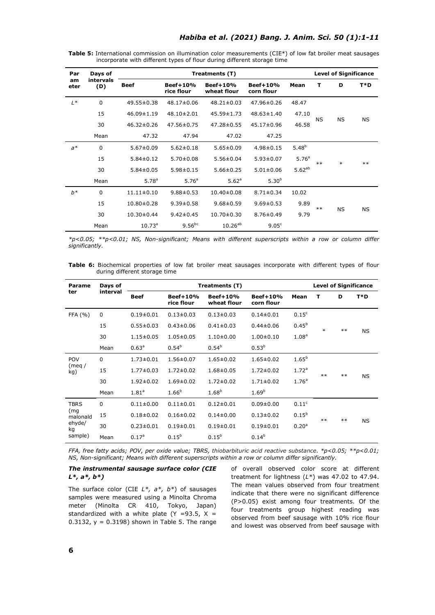**Table 5:** International commission on illumination color measurements (CIE\*) of low fat broiler meat sausages incorporate with different types of flour during different storage time

| Par        | Days of          |                   |                        | <b>Level of Significance</b> |                          |                   |           |           |           |
|------------|------------------|-------------------|------------------------|------------------------------|--------------------------|-------------------|-----------|-----------|-----------|
| am<br>eter | intervals<br>(D) | <b>Beef</b>       | Beef+10%<br>rice flour | Beef+10%<br>wheat flour      | $Beef+10%$<br>corn flour | Mean              | т         | D         | T*D       |
| $L^*$      | $\Omega$         | 49.55±0.38        | $48.17 \pm 0.06$       | $48.21 \pm 0.03$             | $47.96 \pm 0.26$         | 48.47             |           |           |           |
|            | 15               | $46.09 \pm 1.19$  | $48.10 \pm 2.01$       | 45.59±1.73                   | $48.63 \pm 1.40$         | 47.10             |           |           |           |
|            | 30               | $46.32 \pm 0.26$  | 47.56±0.75             | 47.28±0.55                   | 45.17±0.96               | 46.58             | <b>NS</b> | <b>NS</b> | <b>NS</b> |
|            | Mean             | 47.32             | 47.94                  | 47.02                        | 47.25                    |                   |           |           |           |
| $a^*$      | $\mathbf 0$      | $5.67 \pm 0.09$   | $5.62 \pm 0.18$        | $5.65 \pm 0.09$              | $4.98 \pm 0.15$          | $5.48^{b}$        |           |           |           |
|            | 15               | $5.84 \pm 0.12$   | $5.70 \pm 0.08$        | $5.56 \pm 0.04$              | $5.93 \pm 0.07$          | 5.76 <sup>a</sup> | $***$     | $\ast$    | $***$     |
|            | 30               | $5.84 \pm 0.05$   | $5.98 \pm 0.15$        | $5.66 \pm 0.25$              | $5.01 \pm 0.06$          | $5.62^{ab}$       |           |           |           |
|            | Mean             | 5.78 <sup>a</sup> | 5.76 <sup>a</sup>      | 5.62 <sup>a</sup>            | $5.30^{b}$               |                   |           |           |           |
| $b^*$      | $\mathbf 0$      | $11.11 \pm 0.10$  | $9.88 \pm 0.53$        | $10.40 \pm 0.08$             | $8.71 \pm 0.34$          | 10.02             |           |           |           |
|            | 15               | $10.80 \pm 0.28$  | $9.39 \pm 0.58$        | $9.68 \pm 0.59$              | $9.69 \pm 0.53$          | 9.89              | $***$     |           |           |
|            | 30               | $10.30 \pm 0.44$  | $9.42 \pm 0.45$        | $10.70 \pm 0.30$             | $8.76 \pm 0.49$          | 9.79              |           | <b>NS</b> | <b>NS</b> |
|            | Mean             | $10.73^a$         | $9.56^{bc}$            | $10.26^{ab}$                 | 9.05 <sup>c</sup>        |                   |           |           |           |

*\*p<0.05; \*\*p<0.01; NS, Non-significant; Means with different superscripts within a row or column differ significantly.*

**Table 6:** Biochemical properties of low fat broiler meat sausages incorporate with different types of flour during different storage time

| Parame          | Days of<br>interval |                   |                               | Treatments (T)                 |                          |                   | <b>Level of Significance</b> |       |           |
|-----------------|---------------------|-------------------|-------------------------------|--------------------------------|--------------------------|-------------------|------------------------------|-------|-----------|
| ter             |                     | <b>Beef</b>       | <b>Beef+10%</b><br>rice flour | <b>Beef+10%</b><br>wheat flour | $Beef+10%$<br>corn flour | Mean              | т                            | D     | T*D       |
| FFA(%)          | $\mathbf 0$         | $0.19 \pm 0.01$   | $0.13 \pm 0.03$               | $0.13 \pm 0.03$                | $0.14 \pm 0.01$          | 0.15 <sup>c</sup> |                              |       |           |
|                 | 15                  | $0.55 \pm 0.03$   | $0.43 \pm 0.06$               | $0.41 \pm 0.03$                | $0.44 \pm 0.06$          | $0.45^{b}$        | $\ast$                       | $***$ | <b>NS</b> |
|                 | 30                  | $1.15 \pm 0.05$   | $1.05 \pm 0.05$               | $1.10\pm0.00$                  | $1.00 \pm 0.10$          | 1.08 <sup>a</sup> |                              |       |           |
|                 | Mean                | 0.63 <sup>a</sup> | $0.54^{b}$                    | $0.54^{b}$                     | $0.53^{b}$               |                   |                              |       |           |
| POV             | $\Omega$            | $1.73 \pm 0.01$   | $1.56 \pm 0.07$               | $1.65 \pm 0.02$                | $1.65 \pm 0.02$          | $1.65^{b}$        |                              |       |           |
| (meq/<br>kg)    | 15                  | $1.77 \pm 0.03$   | $1.72 \pm 0.02$               | $1.68 \pm 0.05$                | $1.72 \pm 0.02$          | 1.72 <sup>a</sup> | $***$                        | $***$ | <b>NS</b> |
|                 | 30                  | $1.92 \pm 0.02$   | $1.69 \pm 0.02$               | $1.72 \pm 0.02$                | $1.71 \pm 0.02$          | 1.76 <sup>a</sup> |                              |       |           |
|                 | Mean                | 1.81 <sup>a</sup> | $1.66^{b}$                    | $1.68^{b}$                     | 1.69 <sup>b</sup>        |                   |                              |       |           |
| <b>TBRS</b>     | $\mathbf 0$         | $0.11 \pm 0.00$   | $0.11 \pm 0.01$               | $0.12 \pm 0.01$                | $0.09 \pm 0.00$          | 0.11 <sup>c</sup> |                              |       |           |
| (mg<br>malonald | 15                  | $0.18 \pm 0.02$   | $0.16 \pm 0.02$               | $0.14 \pm 0.00$                | $0.13 \pm 0.02$          | $0.15^{b}$        | $**$                         | $***$ | <b>NS</b> |
| ehyde/<br>kg    | 30                  | $0.23 \pm 0.01$   | $0.19 \pm 0.01$               | $0.19 \pm 0.01$                | $0.19 \pm 0.01$          | 0.20 <sup>a</sup> |                              |       |           |
| sample)         | Mean                | 0.17 <sup>a</sup> | $0.15^{b}$                    | $0.15^{b}$                     | $0.14^{b}$               |                   |                              |       |           |

*FFA, free fatty acids; POV, per oxide value; TBRS, thiobarbituric acid reactive substance. \*p<0.05; \*\*p<0.01; NS, Non-significant; Means with different superscripts within a row or column differ significantly.*

# *The instrumental sausage surface color (CIE L\*, a\*, b\*)*

The surface color (CIE *L\*, a\*, b\**) of sausages samples were measured using a Minolta Chroma meter (Minolta CR 410, Tokyo, Japan) standardized with a white plate (Y =93.5,  $X =$ 0.3132,  $y = 0.3198$ ) shown in Table 5. The range of overall observed color score at different treatment for lightness (*L\**) was 47.02 to 47.94. The mean values observed from four treatment indicate that there were no significant difference (P>0.05) exist among four treatments. Of the four treatments group highest reading was observed from beef sausage with 10% rice flour and lowest was observed from beef sausage with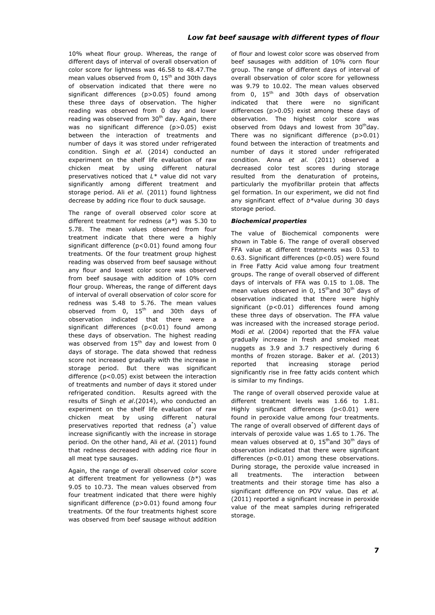10% wheat flour group. Whereas, the range of different days of interval of overall observation of color score for lightness was 46.58 to 48.47.The mean values observed from 0,  $15<sup>th</sup>$  and 30th days of observation indicated that there were no significant differences (p>0.05) found among these three days of observation. The higher reading was observed from 0 day and lower reading was observed from  $30<sup>th</sup>$  day. Again, there was no significant difference (p>0.05) exist between the interaction of treatments and number of days it was stored under refrigerated condition. Singh *et al.* (2014) conducted an experiment on the shelf life evaluation of raw chicken meat by using different natural preservatives noticed that *L\** value did not vary significantly among different treatment and storage period. Ali *et al.* (2011) found lightness decrease by adding rice flour to duck sausage.

The range of overall observed color score at different treatment for redness (*a\**) was 5.30 to 5.78. The mean values observed from four treatment indicate that there were a highly significant difference (p<0.01) found among four treatments. Of the four treatment group highest reading was observed from beef sausage without any flour and lowest color score was observed from beef sausage with addition of 10% corn flour group. Whereas, the range of different days of interval of overall observation of color score for redness was 5.48 to 5.76. The mean values observed from 0, 15<sup>th</sup> and 30th days of observation indicated that there were a significant differences (p<0.01) found among these days of observation. The highest reading was observed from  $15<sup>th</sup>$  day and lowest from 0 days of storage. The data showed that redness score not increased gradually with the increase in storage period. But there was significant difference (p<0.05) exist between the interaction of treatments and number of days it stored under refrigerated condition. Results agreed with the results of Singh *et al*.(2014), who conducted an experiment on the shelf life evaluation of raw chicken meat by using different natural preservatives reported that redness (*a*\* ) value increase significantly with the increase in storage period. On the other hand, Ali *et al.* (2011) found that redness decreased with adding rice flour in all meat type sausages.

Again, the range of overall observed color score at different treatment for yellowness (*b\**) was 9.05 to 10.73. The mean values observed from four treatment indicated that there were highly significant difference (p>0.01) found among four treatments. Of the four treatments highest score was observed from beef sausage without addition of flour and lowest color score was observed from beef sausages with addition of 10% corn flour group. The range of different days of interval of overall observation of color score for yellowness was 9.79 to 10.02. The mean values observed from 0,  $15<sup>th</sup>$  and 30th days of observation indicated that there were no significant differences (p>0.05) exist among these days of observation. The highest color score was observed from 0days and lowest from  $30<sup>th</sup>$ day. There was no significant difference (p>0.01) found between the interaction of treatments and number of days it stored under refrigerated condition. Anna *et al*. (2011) observed a decreased color test scores during storage resulted from the denaturation of proteins, particularly the myofibrillar protein that affects gel formation. In our experiment, we did not find any significant effect of *b\**value during 30 days storage period.

# *Biochemical properties*

The value of Biochemical components were shown in Table 6. The range of overall observed FFA value at different treatments was 0.53 to 0.63. Significant differences (p<0.05) were found in Free Fatty Acid value among four treatment groups. The range of overall observed of different days of intervals of FFA was 0.15 to 1.08. The mean values observed in 0,  $15<sup>th</sup>$  and 30<sup>th</sup> days of observation indicated that there were highly significant (p<0.01) differences found among these three days of observation. The FFA value was increased with the increased storage period. Modi *et al.* (2004) reported that the FFA value gradually increase in fresh and smoked meat nuggets as 3.9 and 3.7 respectively during 6 months of frozen storage. Baker *et al*. (2013) reported that increasing storage period significantly rise in free fatty acids content which is similar to my findings.

The range of overall observed peroxide value at different treatment levels was 1.66 to 1.81. Highly significant differences (p<0.01) were found in peroxide value among four treatments. The range of overall observed of different days of intervals of peroxide value was 1.65 to 1.76. The mean values observed at 0,  $15<sup>th</sup>$  and 30<sup>th</sup> days of observation indicated that there were significant differences (p<0.01) among these observations. During storage, the peroxide value increased in all treatments. The interaction between treatments and their storage time has also a significant difference on POV value. Das *et al.* (2011) reported a significant increase in peroxide value of the meat samples during refrigerated storage.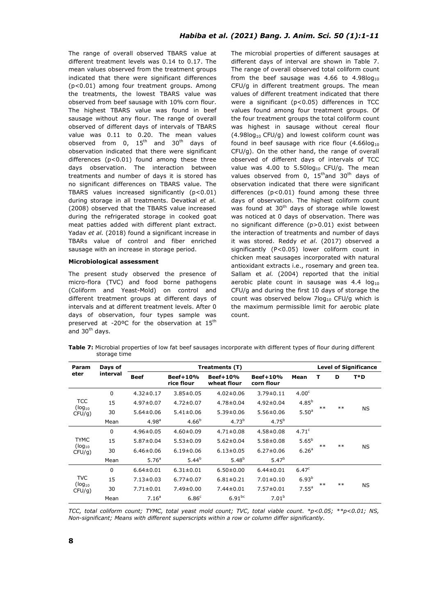The range of overall observed TBARS value at different treatment levels was 0.14 to 0.17. The mean values observed from the treatment groups indicated that there were significant differences (p<0.01) among four treatment groups. Among the treatments, the lowest TBARS value was observed from beef sausage with 10% corn flour. The highest TBARS value was found in beef sausage without any flour. The range of overall observed of different days of intervals of TBARS value was 0.11 to 0.20. The mean values observed from 0,  $15<sup>th</sup>$  and  $30<sup>th</sup>$  days of observation indicated that there were significant differences (p<0.01) found among these three days observation. The interaction between treatments and number of days it is stored has no significant differences on TBARS value. The TBARS values increased significantly (p<0.01) during storage in all treatments. Devatkal *et al.* (2008) observed that the TBARS value increased during the refrigerated storage in cooked goat meat patties added with different plant extract. Yadav *et al.* (2018) found a significant increase in TBARs value of control and fiber enriched sausage with an increase in storage period.

### **Microbiological assessment**

The present study observed the presence of micro-flora (TVC) and food borne pathogens (Coliform and Yeast-Mold) on control and different treatment groups at different days of intervals and at different treatment levels. After 0 days of observation, four types sample was preserved at -20°C for the observation at 15<sup>th</sup> and 30<sup>th</sup> days.

The microbial properties of different sausages at different days of interval are shown in Table 7. The range of overall observed total coliform count from the beef sausage was 4.66 to 4.98 $log_{10}$ CFU/g in different treatment groups. The mean values of different treatment indicated that there were a significant (p<0.05) differences in TCC values found among four treatment groups. Of the four treatment groups the total coliform count was highest in sausage without cereal flour  $(4.98log_{10} CFU/q)$  and lowest coliform count was found in beef sausage with rice flour  $(4.66\log_{10}$ CFU/g). On the other hand, the range of overall observed of different days of intervals of TCC value was 4.00 to  $5.50 \log_{10}$  CFU/g. The mean values observed from 0,  $15<sup>th</sup>$  and  $30<sup>th</sup>$  days of observation indicated that there were significant differences (p<0.01) found among these three days of observation. The highest coliform count was found at  $30<sup>th</sup>$  days of storage while lowest was noticed at 0 days of observation. There was no significant difference (p>0.01) exist between the interaction of treatments and number of days it was stored. Reddy *et al*. (2017) observed a significantly (P<0.05) lower coliform count in chicken meat sausages incorporated with natural antioxidant extracts i.e., rosemary and green tea. Sallam et *al.* (2004) reported that the initial aerobic plate count in sausage was  $4.4$  log<sub>10</sub> CFU/g and during the first 10 days of storage the count was observed below  $7 \log_{10}$  CFU/g which is the maximum permissible limit for aerobic plate count.

**Table 7:** Microbial properties of low fat beef sausages incorporate with different types of flour during different storage time

| <b>Param</b>                        | Days of     |                   | Treatments (T)                                                                       |                   | <b>Level of Significance</b> |                   |      |      |           |
|-------------------------------------|-------------|-------------------|--------------------------------------------------------------------------------------|-------------------|------------------------------|-------------------|------|------|-----------|
| eter                                | interval    | <b>Beef</b>       | Beef+10%<br><b>Beef+10%</b><br>$Beef+10%$<br>rice flour<br>wheat flour<br>corn flour |                   | Mean                         | т                 | D    | T*D  |           |
| <b>TCC</b><br>$(log_{10}$<br>CFU/q) | $\mathbf 0$ | $4.32 \pm 0.17$   | $3.85 \pm 0.05$                                                                      | $4.02 \pm 0.06$   | $3.79 \pm 0.11$              | 4.00 <sup>c</sup> |      |      |           |
|                                     | 15          | $4.97 \pm 0.07$   | $4.72 \pm 0.07$                                                                      | $4.78 \pm 0.04$   | $4.92 \pm 0.04$              | $4.85^{b}$        |      |      |           |
|                                     | 30          | $5.64 \pm 0.06$   | $5.41 \pm 0.06$                                                                      | $5.39 \pm 0.06$   | $5.56 \pm 0.06$              | 5.50 <sup>a</sup> | $**$ | $**$ | <b>NS</b> |
|                                     | Mean        | 4.98 <sup>a</sup> | $4.66^{b}$                                                                           | 4.73 <sup>b</sup> | $4.75^{b}$                   |                   |      |      |           |
|                                     | $\mathbf 0$ | $4.96 \pm 0.05$   | $4.60 \pm 0.09$                                                                      | $4.71 \pm 0.08$   | $4.58 \pm 0.08$              | 4.71 <sup>c</sup> |      |      |           |
| <b>TYMC</b>                         | 15          | $5.87 \pm 0.04$   | $5.53 \pm 0.09$                                                                      | $5.62 \pm 0.04$   | $5.58 \pm 0.08$              | $5.65^{b}$        |      |      | <b>NS</b> |
| $(log_{10}$<br>$CFU/q$ )            | 30          | $6.46 \pm 0.06$   | $6.19 \pm 0.06$                                                                      | $6.13 \pm 0.05$   | $6.27 \pm 0.06$              | 6.26 <sup>a</sup> | $**$ | $**$ |           |
|                                     | Mean        | 5.76 <sup>a</sup> | $5.44^{b}$                                                                           | $5.48^{b}$        | $5.47^{b}$                   |                   |      |      |           |
|                                     | $\mathbf 0$ | $6.64 \pm 0.01$   | $6.31 \pm 0.01$                                                                      | $6.50 \pm 0.00$   | $6.44 \pm 0.01$              | 6.47 <sup>c</sup> |      |      |           |
| TVC                                 | 15          | $7.13 \pm 0.03$   | $6.77 \pm 0.07$                                                                      | $6.81 \pm 0.21$   | $7.01 \pm 0.10$              | $6.93^{b}$        |      |      |           |
| $(log_{10}$<br>$CFU/q$ )            | 30          | $7.71 \pm 0.01$   | $7.49 \pm 0.00$                                                                      | $7.44 \pm 0.01$   | $7.57 \pm 0.01$              | 7.55 <sup>a</sup> | $**$ | $**$ | <b>NS</b> |
|                                     | Mean        | 7.16 <sup>a</sup> | 6.86 <sup>c</sup>                                                                    | $6.91^{bc}$       | 7.01 <sup>b</sup>            |                   |      |      |           |

*TCC, total coliform count; TYMC, total yeast mold count; TVC, total viable count. \*p<0.05; \*\*p<0.01; NS, Non-significant; Means with different superscripts within a row or column differ significantly.*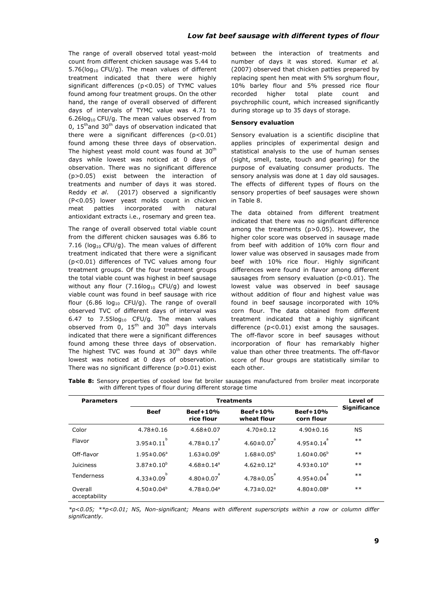The range of overall observed total yeast-mold count from different chicken sausage was 5.44 to 5.76( $log_{10}$  CFU/g). The mean values of different treatment indicated that there were highly significant differences (p<0.05) of TYMC values found among four treatment groups. On the other hand, the range of overall observed of different days of intervals of TYMC value was 4.71 to 6.26log10 CFU/g. The mean values observed from 0,  $15<sup>th</sup>$  and  $30<sup>th</sup>$  days of observation indicated that there were a significant differences (p<0.01) found among these three days of observation. The highest yeast mold count was found at 30<sup>th</sup> days while lowest was noticed at 0 days of observation. There was no significant difference (p>0.05) exist between the interaction of treatments and number of days it was stored. Reddy *et al*. (2017) observed a significantly (P<0.05) lower yeast molds count in chicken meat patties incorporated with natural antioxidant extracts i.e., rosemary and green tea.

The range of overall observed total viable count from the different chicken sausages was 6.86 to 7.16 ( $log_{10}$  CFU/g). The mean values of different treatment indicated that there were a significant (p<0.01) differences of TVC values among four treatment groups. Of the four treatment groups the total viable count was highest in beef sausage without any flour  $(7.16 \log_{10} CFU/g)$  and lowest viable count was found in beef sausage with rice flour (6.86  $log_{10}$  CFU/g). The range of overall observed TVC of different days of interval was 6.47 to  $7.55\log_{10}$  CFU/g. The mean values observed from  $0, 15^{\text{th}}$  and  $30^{\text{th}}$  days intervals indicated that there were a significant differences found among these three days of observation. The highest TVC was found at  $30<sup>th</sup>$  days while lowest was noticed at 0 days of observation. There was no significant difference (p>0.01) exist between the interaction of treatments and number of days it was stored. Kumar *et al.* (2007) observed that chicken patties prepared by replacing spent hen meat with 5% sorghum flour, 10% barley flour and 5% pressed rice flour recorded higher total plate count and psychrophilic count, which increased significantly during storage up to 35 days of storage.

### **Sensory evaluation**

Sensory evaluation is a scientific discipline that applies principles of experimental design and statistical analysis to the use of human senses (sight, smell, taste, touch and gearing) for the purpose of evaluating consumer products. The sensory analysis was done at 1 day old sausages. The effects of different types of flours on the sensory properties of beef sausages were shown in Table 8.

The data obtained from different treatment indicated that there was no significant difference among the treatments (p>0.05). However, the higher color score was observed in sausage made from beef with addition of 10% corn flour and lower value was observed in sausages made from beef with 10% rice flour. Highly significant differences were found in flavor among different sausages from sensory evaluation ( $p<0.01$ ). The lowest value was observed in beef sausage without addition of flour and highest value was found in beef sausage incorporated with 10% corn flour. The data obtained from different treatment indicated that a highly significant difference (p<0.01) exist among the sausages. The off-flavor score in beef sausages without incorporation of flour has remarkably higher value than other three treatments. The off-flavor score of flour groups are statistically similar to each other.

|  |                                                             |  |  |  | Table 8: Sensory properties of cooked low fat broiler sausages manufactured from broiler meat incorporate |  |  |
|--|-------------------------------------------------------------|--|--|--|-----------------------------------------------------------------------------------------------------------|--|--|
|  | with different types of flour during different storage time |  |  |  |                                                                                                           |  |  |

| <b>Parameters</b>        |                      | Level of                     |                              |                               |                     |
|--------------------------|----------------------|------------------------------|------------------------------|-------------------------------|---------------------|
|                          | <b>Beef</b>          | Beef+10%<br>rice flour       | Beef+10%<br>wheat flour      | <b>Beef+10%</b><br>corn flour | <b>Significance</b> |
| Color                    | $4.78 \pm 0.16$      | $4.68 \pm 0.07$              | $4.70 \pm 0.12$              | $4.90 \pm 0.16$               | <b>NS</b>           |
| Flavor                   | b<br>$3.95 \pm 0.11$ | $4.78 \pm 0.17$              | $4.60 \pm 0.07$              | $4.95 \pm 0.14$               | $***$               |
| Off-flavor               | $1.95 \pm 0.06^a$    | $1.63 \pm 0.09^b$            | $1.68 \pm 0.05^b$            | $1.60 \pm 0.06^b$             | $***$               |
| <b>Juiciness</b>         | $3.87 \pm 0.10^{b}$  | $4.68 \pm 0.14$ <sup>a</sup> | $4.62 \pm 0.12$ <sup>a</sup> | $4.93 \pm 0.10^a$             | $***$               |
| Tenderness               | h<br>$4.33 \pm 0.09$ | $4.80 \pm 0.07$              | $4.78 \pm 0.05$              | $4.95 \pm 0.04$               | $***$               |
| Overall<br>acceptability | $4.50 \pm 0.04^b$    | $4.78 \pm 0.04$ <sup>a</sup> | $4.73 \pm 0.02$ <sup>a</sup> | $4.80 \pm 0.08$ <sup>a</sup>  | $***$               |

*\*p<0.05; \*\*p<0.01; NS, Non-significant; Means with different superscripts within a row or column differ significantly.*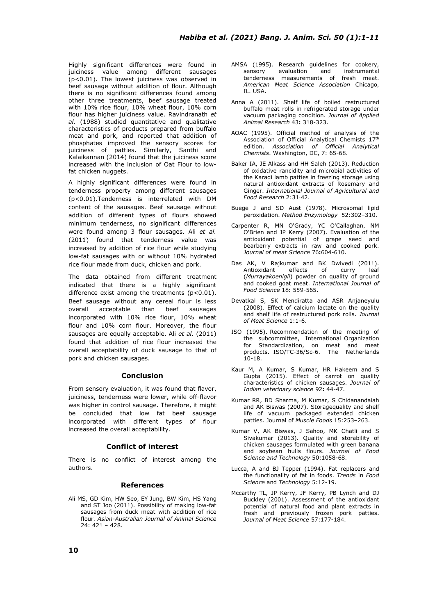Highly significant differences were found in juiciness value among different sausages  $(p<0.01)$ . The lowest juiciness was observed in beef sausage without addition of flour. Although there is no significant differences found among other three treatments, beef sausage treated with 10% rice flour, 10% wheat flour, 10% corn flour has higher juiciness value. Ravindranath *et al.* (1988) studied quantitative and qualitative characteristics of products prepared from buffalo meat and pork, and reported that addition of phosphates improved the sensory scores for juiciness of patties. Similarly, Santhi and Kalaikannan (2014) found that the juiciness score increased with the inclusion of Oat Flour to lowfat chicken nuggets.

A highly significant differences were found in tenderness property among different sausages (p<0.01).Tenderness is interrelated with DM content of the sausages. Beef sausage without addition of different types of flours showed minimum tenderness, no significant differences were found among 3 flour sausages. Ali *et al.* (2011) found that tenderness value was increased by addition of rice flour while studying low-fat sausages with or without 10% hydrated rice flour made from duck, chicken and pork.

The data obtained from different treatment indicated that there is a highly significant difference exist among the treatments (p<0.01). Beef sausage without any cereal flour is less overall acceptable than beef sausages incorporated with 10% rice flour, 10% wheat flour and 10% corn flour. Moreover, the flour sausages are equally acceptable. Ali *et al.* (2011) found that addition of rice flour increased the overall acceptability of duck sausage to that of pork and chicken sausages.

# **Conclusion**

From sensory evaluation, it was found that flavor, juiciness, tenderness were lower, while off-flavor was higher in control sausage. Therefore, it might be concluded that low fat beef sausage incorporated with different types of flour increased the overall acceptability.

### **Conflict of interest**

There is no conflict of interest among the authors.

# **References**

Ali MS, GD Kim, HW Seo, EY Jung, BW Kim, HS Yang and ST Joo (2011). Possibility of making low-fat sausages from duck meat with addition of rice flour*. Asian-Australian Journal of Animal Science* 24: 421 – 428.

- AMSA (1995). Research guidelines for cookery, sensory evaluation and instrumental tenderness measurements of fresh meat. *American Meat Science Association* Chicago, IL. USA.
- Anna A (2011). Shelf life of boiled restructured buffalo meat rolls in refrigerated storage under vacuum packaging condition. *Journal of Applied Animal Research* 43**:** 318-323.
- AOAC (1995). Official method of analysis of the Association of Official Analytical Chemists 17th edition. *Association of Official Analytical Chemists*. Washington, DC, 7: 65-68.
- Baker IA, JE Alkass and HH Saleh (2013). Reduction of oxidative rancidity and microbial activities of the Karadi lamb patties in freezing storage using natural antioxidant extracts of Rosemary and Ginger. *International Journal of Agricultural and Food Research* 2:31‐42.
- Buege J and SD Aust (1978). Microsomal lipid peroxidation. *Method Enzymology* 52:302–310.
- Carpenter R, MN O'Grady, YC O'Callaghan, NM O'Brien and JP Kerry (2007). Evaluation of the antioxidant potential of grape seed and bearberry extracts in raw and cooked pork. *Journal of meat Science* 76**:**604-610.
- Das AK, V Rajkumar and BK Dwivedi (2011).<br>Antioxidant effects of curry leaf Antioxidant effects of curry leaf (*Murrayakoenigii*) powder on quality of ground and cooked goat meat. *International Journal of Food Science* 18**:** 559-565.
- Devatkal S, SK Mendiratta and ASR Anjaneyulu (2008). Effect of calcium lactate on the quality and shelf life of restructured pork rolls. *Journal of Meat Science* 1:1-6.
- ISO (1995). Recommendation of the meeting of the subcommittee, International Organization for Standardization, on meat and meat products. ISO/TC-36/Sc-6. The Netherlands 10-18.
- Kaur M, A Kumar, S Kumar, HR Hakeem and S Gupta (2015). Effect of carrot on quality characteristics of chicken sausages. *Journal of Indian veterinary science* 92**:** 44-47.
- Kumar RR, BD Sharma, M Kumar, S Chidanandaiah and AK Biswas (2007). Storagequality and shelf life of vacuum packaged extended chicken patties. Journal of *Muscle Foods* 15:253–263.
- Kumar V, AK Biswas, J Sahoo, MK Chatli and S Sivakumar (2013). Quality and storability of chicken sausages formulated with green banana and soybean hulls flours. *Journal of Food Science and Technology* 50:1058-68.
- Lucca, A and BJ Tepper (1994). Fat replacers and the functionality of fat in foods. *Trends* in *Food Science* and *Technology* 5:12-19.
- Mccarthy TL, JP Kerry, JF Kerry, PB Lynch and DJ Buckley (2001). Assessment of the antioxidant potential of natural food and plant extracts in fresh and previously frozen pork patties. *Journal of Meat Science* 57:177-184.